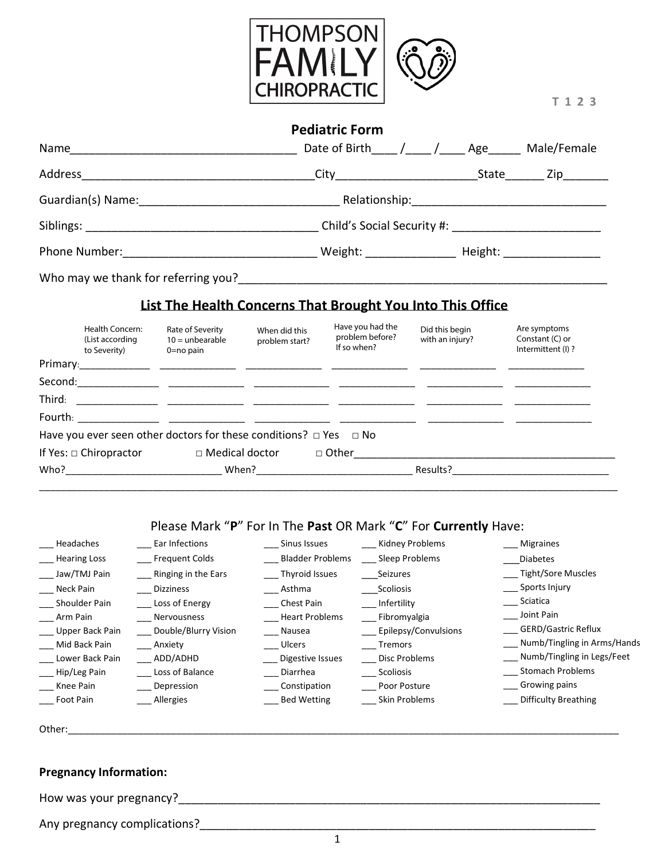

 **T 1 2 3**

|                                      | <b>Pediatric Form</b>           |     |             |
|--------------------------------------|---------------------------------|-----|-------------|
| Name                                 | Date of Birth / /               | Age | Male/Female |
|                                      |                                 |     |             |
|                                      |                                 |     |             |
|                                      |                                 |     |             |
| Phone Number: <u>_______________</u> | Weight: Meight: Neight: Neight: |     |             |
| Who may we thank for referring you?  |                                 |     |             |

### **List The Health Concerns That Brought You Into This Office**

|         | Health Concern:<br>(List according<br>to Severity) | Rate of Severity<br>$10 =$ unbearable<br>$0 = no$ pain            | When did this<br>problem start? | Have you had the<br>problem before?<br>If so when? | Did this begin<br>with an injury? | Are symptoms<br>Constant (C) or<br>Intermittent (I)? |
|---------|----------------------------------------------------|-------------------------------------------------------------------|---------------------------------|----------------------------------------------------|-----------------------------------|------------------------------------------------------|
|         | Primary: 2008                                      |                                                                   |                                 |                                                    |                                   |                                                      |
| Second: |                                                    |                                                                   |                                 |                                                    |                                   |                                                      |
| Third:  |                                                    |                                                                   |                                 |                                                    |                                   |                                                      |
| Fourth: |                                                    |                                                                   |                                 |                                                    |                                   |                                                      |
|         |                                                    | Have you ever seen other doctors for these conditions? $\Box$ Yes |                                 | $\Box$ No                                          |                                   |                                                      |
|         | If Yes: $\Box$ Chiropractor                        | $\Box$ Medical doctor                                             |                                 | □ Other                                            |                                   |                                                      |
| Who?    |                                                    | When?                                                             |                                 |                                                    | Results?                          |                                                      |

## Please Mark "**P**" For In The **Past** OR Mark "**C**" For **Currently** Have:

\_\_\_\_\_\_\_\_\_\_\_\_\_\_\_\_\_\_\_\_\_\_\_\_\_\_\_\_\_\_\_\_\_\_\_\_\_\_\_\_\_\_\_\_\_\_\_\_\_\_\_\_\_\_\_\_\_\_\_\_\_\_\_\_\_\_\_\_\_\_\_\_\_\_\_\_\_\_\_\_\_\_\_\_\_\_\_\_\_\_\_\_\_\_\_\_\_\_\_\_\_\_\_\_\_\_\_

| Headaches           | Ear Infections        | Sinus Issues            | Kidney Problems      | <b>Migraines</b>                |
|---------------------|-----------------------|-------------------------|----------------------|---------------------------------|
| <b>Hearing Loss</b> | <b>Frequent Colds</b> | <b>Bladder Problems</b> | Sleep Problems       | <b>Diabetes</b>                 |
| Jaw/TMJ Pain        | Ringing in the Ears   | Thyroid Issues          | Seizures             | Tight/Sore Muscles              |
| Neck Pain           | <b>Dizziness</b>      | Asthma                  | Scoliosis            | Sports Injury                   |
| Shoulder Pain       | Loss of Energy        | Chest Pain              | Infertility          | Sciatica                        |
| Arm Pain            | Nervousness           | <b>Heart Problems</b>   | Fibromyalgia         | Joint Pain                      |
| Upper Back Pain     | Double/Blurry Vision  | Nausea                  | Epilepsy/Convulsions | <b>GERD/Gastric Reflux</b>      |
| Mid Back Pain       | Anxiety               | <b>Ulcers</b>           | Tremors              | ___ Numb/Tingling in Arms/Hands |
| Lower Back Pain     | ADD/ADHD              | Digestive Issues        | Disc Problems        | __ Numb/Tingling in Legs/Feet   |
| Hip/Leg Pain        | Loss of Balance       | Diarrhea                | Scoliosis            | <b>Stomach Problems</b>         |
| Knee Pain           | Depression            | Constipation            | Poor Posture         | Growing pains                   |
| Foot Pain           | Allergies             | <b>Bed Wetting</b>      | Skin Problems        | <b>Difficulty Breathing</b>     |
|                     |                       |                         |                      |                                 |

| Othe |  |
|------|--|
|      |  |

#### **Pregnancy Information:**

How was your pregnancy?<br> $\frac{1}{2}$ 

Any pregnancy complications?\_\_\_\_\_\_\_\_\_\_\_\_\_\_\_\_\_\_\_\_\_\_\_\_\_\_\_\_\_\_\_\_\_\_\_\_\_\_\_\_\_\_\_\_\_\_\_\_\_\_\_\_\_\_\_\_\_\_\_\_\_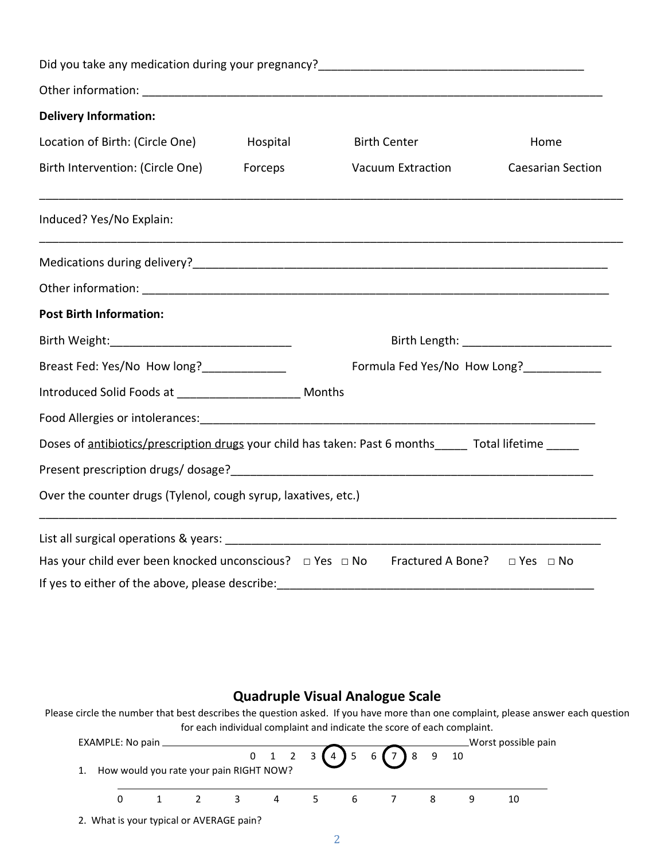| <b>Delivery Information:</b>                                                                              |          |                          |                                            |  |
|-----------------------------------------------------------------------------------------------------------|----------|--------------------------|--------------------------------------------|--|
| Location of Birth: (Circle One)                                                                           | Hospital | <b>Birth Center</b>      | Home                                       |  |
| Birth Intervention: (Circle One) Forceps                                                                  |          | <b>Vacuum Extraction</b> | <b>Caesarian Section</b>                   |  |
| Induced? Yes/No Explain:                                                                                  |          |                          |                                            |  |
|                                                                                                           |          |                          |                                            |  |
|                                                                                                           |          |                          |                                            |  |
| <b>Post Birth Information:</b>                                                                            |          |                          |                                            |  |
|                                                                                                           |          |                          | Birth Length: ____________________________ |  |
| Formula Fed Yes/No How Long?_____________<br>Breast Fed: Yes/No How long?_____________                    |          |                          |                                            |  |
| Introduced Solid Foods at _______________________ Months                                                  |          |                          |                                            |  |
|                                                                                                           |          |                          |                                            |  |
| Doses of antibiotics/prescription drugs your child has taken: Past 6 months_____ Total lifetime ____      |          |                          |                                            |  |
|                                                                                                           |          |                          |                                            |  |
| Over the counter drugs (Tylenol, cough syrup, laxatives, etc.)                                            |          |                          |                                            |  |
|                                                                                                           |          |                          |                                            |  |
| Has your child ever been knocked unconscious? $\Box$ Yes $\Box$ No Fractured A Bone? $\Box$ Yes $\Box$ No |          |                          |                                            |  |
| If yes to either of the above, please describe:                                                           |          |                          |                                            |  |

### **Quadruple Visual Analogue Scale**

Please circle the number that best describes the question asked. If you have more than one complaint, please answer each question for each individual complaint and indicate the score of each complaint.

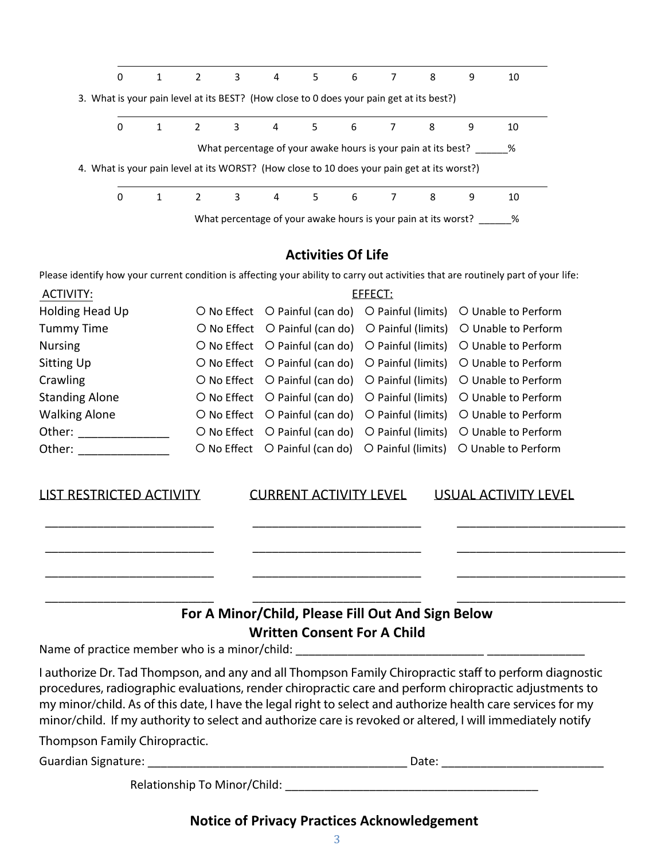| 0                                                                                           |              | 2           | 3           | $\overline{4}$ | 5 | $6\overline{6}$                                                | 8 | 9 | 10 |  |
|---------------------------------------------------------------------------------------------|--------------|-------------|-------------|----------------|---|----------------------------------------------------------------|---|---|----|--|
| 3. What is your pain level at its BEST? (How close to 0 does your pain get at its best?)    |              |             |             |                |   |                                                                |   |   |    |  |
| 0                                                                                           | $\mathbf{1}$ | 2           | $3^{\circ}$ |                |   | 4 5 6 7 8                                                      |   | 9 | 10 |  |
|                                                                                             |              |             |             |                |   | What percentage of your awake hours is your pain at its best?  |   |   | %  |  |
| 4. What is your pain level at its WORST? (How close to 10 does your pain get at its worst?) |              |             |             |                |   |                                                                |   |   |    |  |
| 0                                                                                           |              | $2^{\circ}$ | 3           |                |   | 4 5 6 7 8                                                      |   | 9 | 10 |  |
|                                                                                             |              |             |             |                |   | What percentage of your awake hours is your pain at its worst? |   |   | %  |  |

### **Activities Of Life**

Please identify how your current condition is affecting your ability to carry out activities that are routinely part of your life:

| ACTIVITY:             |  | EFFECT: |                                                                       |
|-----------------------|--|---------|-----------------------------------------------------------------------|
| Holding Head Up       |  |         | O No Effect O Painful (can do) O Painful (limits) O Unable to Perform |
| <b>Tummy Time</b>     |  |         | O No Effect O Painful (can do) O Painful (limits) O Unable to Perform |
| <b>Nursing</b>        |  |         | O No Effect O Painful (can do) O Painful (limits) O Unable to Perform |
| Sitting Up            |  |         | O No Effect O Painful (can do) O Painful (limits) O Unable to Perform |
| Crawling              |  |         | O No Effect O Painful (can do) O Painful (limits) O Unable to Perform |
| <b>Standing Alone</b> |  |         | O No Effect O Painful (can do) O Painful (limits) O Unable to Perform |
| <b>Walking Alone</b>  |  |         | O No Effect O Painful (can do) O Painful (limits) O Unable to Perform |
| Other:                |  |         | O No Effect O Painful (can do) O Painful (limits) O Unable to Perform |
| Other:                |  |         | O No Effect O Painful (can do) O Painful (limits) O Unable to Perform |

| <b>LIST RESTRICTED ACTIVITY</b> |
|---------------------------------|
|---------------------------------|

LIST RESTRICTED ACTIVITYCURRENT ACTIVITY LEVELUSUAL ACTIVITY LEVEL

\_\_\_\_\_\_\_\_\_\_\_\_\_\_\_\_\_\_\_\_\_\_\_\_\_\_ \_\_\_\_\_\_\_\_\_\_\_\_\_\_\_\_\_\_\_\_\_\_\_\_\_\_ \_\_\_\_\_\_\_\_\_\_\_\_\_\_\_\_\_\_\_\_\_\_\_\_\_\_

\_\_\_\_\_\_\_\_\_\_\_\_\_\_\_\_\_\_\_\_\_\_\_\_\_\_ \_\_\_\_\_\_\_\_\_\_\_\_\_\_\_\_\_\_\_\_\_\_\_\_\_\_ \_\_\_\_\_\_\_\_\_\_\_\_\_\_\_\_\_\_\_\_\_\_\_\_\_\_

\_\_\_\_\_\_\_\_\_\_\_\_\_\_\_\_\_\_\_\_\_\_\_\_\_\_ \_\_\_\_\_\_\_\_\_\_\_\_\_\_\_\_\_\_\_\_\_\_\_\_\_\_ \_\_\_\_\_\_\_\_\_\_\_\_\_\_\_\_\_\_\_\_\_\_\_\_\_\_

\_\_\_\_\_\_\_\_\_\_\_\_\_\_\_\_\_\_\_\_\_\_\_\_\_\_ \_\_\_\_\_\_\_\_\_\_\_\_\_\_\_\_\_\_\_\_\_\_\_\_\_\_ \_\_\_\_\_\_\_\_\_\_\_\_\_\_\_\_\_\_\_\_\_\_\_\_\_\_

# **For A Minor/Child, Please Fill Out And Sign Below Written Consent For A Child**

Name of practice member who is a minor/child: \_\_\_\_\_\_\_\_\_\_\_\_\_\_\_\_\_\_\_\_\_\_\_\_\_\_\_\_\_\_\_\_\_\_

I authorize Dr. Tad Thompson, and any and all Thompson Family Chiropractic staff to perform diagnostic procedures, radiographic evaluations, render chiropractic care and perform chiropractic adjustments to my minor/child. As of this date, I have the legal right to select and authorize health care services for my minor/child. If my authority to select and authorize care is revoked or altered, I will immediately notify

Thompson Family Chiropractic.

Guardian Signature: \_\_\_\_\_\_\_\_\_\_\_\_\_\_\_\_\_\_\_\_\_\_\_\_\_\_\_\_\_\_\_\_\_\_\_\_\_\_\_\_ Date: \_\_\_\_\_\_\_\_\_\_\_\_\_\_\_\_\_\_\_\_\_\_\_\_\_

Relationship To Minor/Child: \_\_\_\_\_\_\_\_\_\_\_\_\_\_\_\_\_\_\_\_\_\_\_\_\_\_\_\_\_\_\_\_\_\_\_\_\_\_\_

## **Notice of Privacy Practices Acknowledgement**